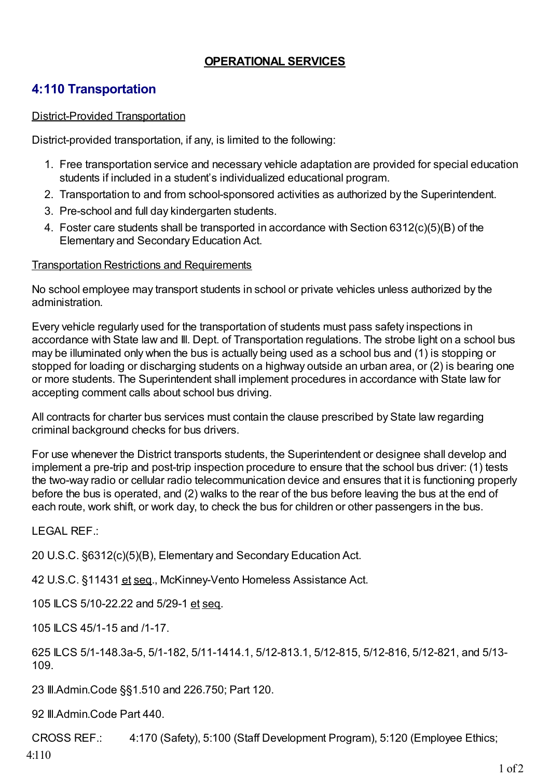## **OPERATIONAL SERVICES**

## **4:110 Transportation**

## District-Provided Transportation

District-provided transportation, if any, is limited to the following:

- 1. Free transportation service and necessary vehicle adaptation are provided for special education students if included in a student's individualized educational program.
- 2. Transportation to and from school-sponsored activities as authorized by the Superintendent.
- 3. Pre-school and full day kindergarten students.
- 4. Foster care students shall be transported in accordance with Section 6312(c)(5)(B) of the Elementary and Secondary Education Act.

## Transportation Restrictions and Requirements

No school employee may transport students in school or private vehicles unless authorized by the administration.

Every vehicle regularly used for the transportation of students must pass safety inspections in accordance with State law and Ill. Dept. of Transportation regulations. The strobe light on a school bus may be illuminated only when the bus is actually being used as a school bus and (1) is stopping or stopped for loading or discharging students on a highway outside an urban area, or (2) is bearing one or more students. The Superintendent shall implement procedures in accordance with State law for accepting comment calls about school bus driving.

All contracts for charter bus services must contain the clause prescribed by State law regarding criminal background checks for bus drivers.

For use whenever the District transports students, the Superintendent or designee shall develop and implement a pre-trip and post-trip inspection procedure to ensure that the school bus driver: (1) tests the two-way radio or cellular radio telecommunication device and ensures that it is functioning properly before the bus is operated, and (2) walks to the rear of the bus before leaving the bus at the end of each route, work shift, or work day, to check the bus for children or other passengers in the bus.

LEGAL REF.:

20 U.S.C. §6312(c)(5)(B), Elementary and Secondary Education Act.

42 U.S.C. §11431 et seq., McKinney-Vento Homeless Assistance Act.

105 ILCS 5/10-22.22 and 5/29-1 et seq.

105 ILCS 45/1-15 and /1-17.

625 ILCS 5/1-148.3a-5, 5/1-182, 5/11-1414.1, 5/12-813.1, 5/12-815, 5/12-816, 5/12-821, and 5/13- 109.

23 Ill.Admin.Code §§1.510 and 226.750; Part 120.

92 Ill.Admin.Code Part 440.

CROSS REF.: 4:170 (Safety), 5:100 (Staff Development Program), 5:120 (Employee Ethics; 4:110